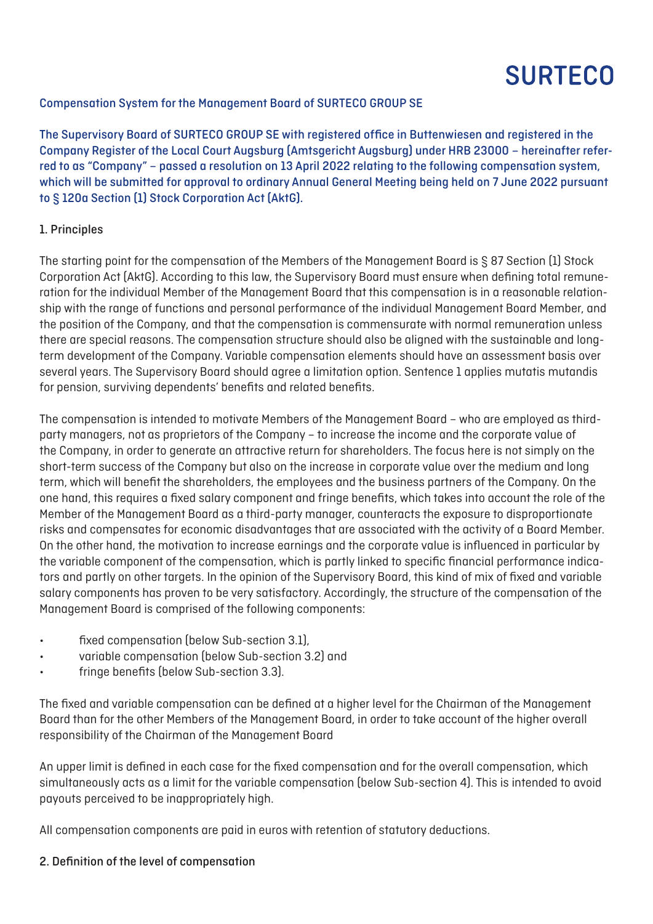### Compensation System for the Management Board of SURTECO GROUP SE

The Supervisory Board of SURTECO GROUP SE with registered office in Buttenwiesen and registered in the Company Register of the Local Court Augsburg (Amtsgericht Augsburg) under HRB 23000 – hereinafter referred to as "Company" – passed a resolution on 13 April 2022 relating to the following compensation system, which will be submitted for approval to ordinary Annual General Meeting being held on 7 June 2022 pursuant to § 120a Section (1) Stock Corporation Act (AktG).

#### 1. Principles

The starting point for the compensation of the Members of the Management Board is § 87 Section (1) Stock Corporation Act (AktG). According to this law, the Supervisory Board must ensure when defining total remuneration for the individual Member of the Management Board that this compensation is in a reasonable relationship with the range of functions and personal performance of the individual Management Board Member, and the position of the Company, and that the compensation is commensurate with normal remuneration unless there are special reasons. The compensation structure should also be aligned with the sustainable and longterm development of the Company. Variable compensation elements should have an assessment basis over several years. The Supervisory Board should agree a limitation option. Sentence 1 applies mutatis mutandis for pension, surviving dependents' benefits and related benefits.

The compensation is intended to motivate Members of the Management Board – who are employed as thirdparty managers, not as proprietors of the Company – to increase the income and the corporate value of the Company, in order to generate an attractive return for shareholders. The focus here is not simply on the short-term success of the Company but also on the increase in corporate value over the medium and long term, which will benefit the shareholders, the employees and the business partners of the Company. On the one hand, this requires a fixed salary component and fringe benefits, which takes into account the role of the Member of the Management Board as a third-party manager, counteracts the exposure to disproportionate risks and compensates for economic disadvantages that are associated with the activity of a Board Member. On the other hand, the motivation to increase earnings and the corporate value is influenced in particular by the variable component of the compensation, which is partly linked to specific financial performance indicators and partly on other targets. In the opinion of the Supervisory Board, this kind of mix of fixed and variable salary components has proven to be very satisfactory. Accordingly, the structure of the compensation of the Management Board is comprised of the following components:

- fixed compensation (below Sub-section 3.1),
- variable compensation (below Sub-section 3.2) and
- fringe benefits (below Sub-section 3.3).

The fixed and variable compensation can be defined at a higher level for the Chairman of the Management Board than for the other Members of the Management Board, in order to take account of the higher overall responsibility of the Chairman of the Management Board

An upper limit is defined in each case for the fixed compensation and for the overall compensation, which simultaneously acts as a limit for the variable compensation (below Sub-section 4). This is intended to avoid payouts perceived to be inappropriately high.

All compensation components are paid in euros with retention of statutory deductions.

#### 2. Definition of the level of compensation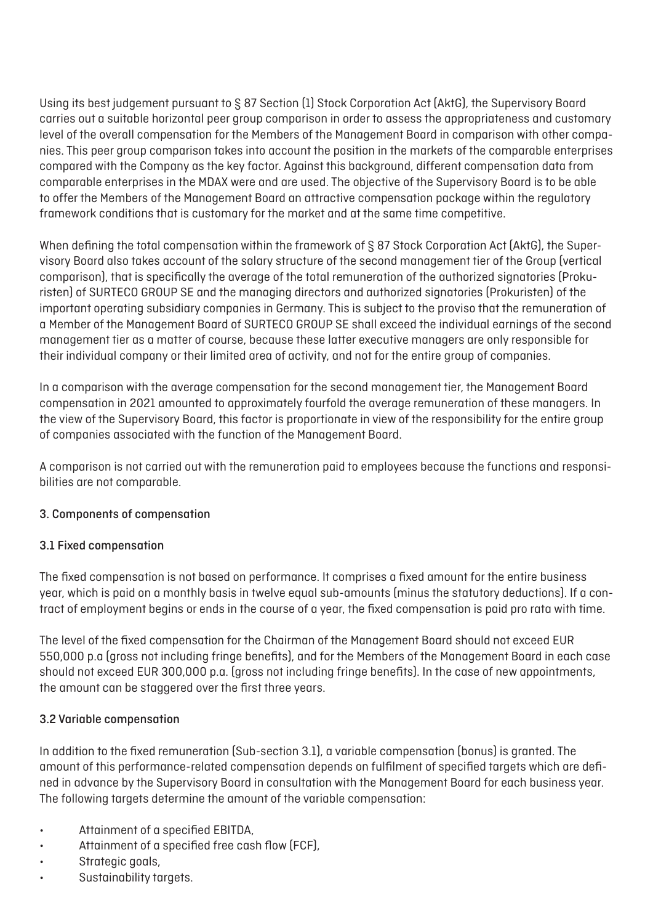Using its best judgement pursuant to § 87 Section (1) Stock Corporation Act (AktG), the Supervisory Board carries out a suitable horizontal peer group comparison in order to assess the appropriateness and customary level of the overall compensation for the Members of the Management Board in comparison with other companies. This peer group comparison takes into account the position in the markets of the comparable enterprises compared with the Company as the key factor. Against this background, different compensation data from comparable enterprises in the MDAX were and are used. The objective of the Supervisory Board is to be able to offer the Members of the Management Board an attractive compensation package within the regulatory framework conditions that is customary for the market and at the same time competitive.

When defining the total compensation within the framework of § 87 Stock Corporation Act (AktG), the Supervisory Board also takes account of the salary structure of the second management tier of the Group (vertical comparison), that is specifically the average of the total remuneration of the authorized signatories (Prokuristen) of SURTECO GROUP SE and the managing directors and authorized signatories (Prokuristen) of the important operating subsidiary companies in Germany. This is subject to the proviso that the remuneration of a Member of the Management Board of SURTECO GROUP SE shall exceed the individual earnings of the second management tier as a matter of course, because these latter executive managers are only responsible for their individual company or their limited area of activity, and not for the entire group of companies.

In a comparison with the average compensation for the second management tier, the Management Board compensation in 2021 amounted to approximately fourfold the average remuneration of these managers. In the view of the Supervisory Board, this factor is proportionate in view of the responsibility for the entire group of companies associated with the function of the Management Board.

A comparison is not carried out with the remuneration paid to employees because the functions and responsibilities are not comparable.

# 3. Components of compensation

# 3.1 Fixed compensation

The fixed compensation is not based on performance. It comprises a fixed amount for the entire business year, which is paid on a monthly basis in twelve equal sub-amounts (minus the statutory deductions). If a contract of employment begins or ends in the course of a year, the fixed compensation is paid pro rata with time.

The level of the fixed compensation for the Chairman of the Management Board should not exceed EUR 550,000 p.a (gross not including fringe benefits), and for the Members of the Management Board in each case should not exceed EUR 300,000 p.a. (gross not including fringe benefits). In the case of new appointments, the amount can be staggered over the first three years.

### 3.2 Variable compensation

In addition to the fixed remuneration (Sub-section 3.1), a variable compensation (bonus) is granted. The amount of this performance-related compensation depends on fulfilment of specified targets which are defined in advance by the Supervisory Board in consultation with the Management Board for each business year. The following targets determine the amount of the variable compensation:

- Attainment of a specified EBITDA,
- Attainment of a specified free cash flow (FCF),
- Strategic goals,
- Sustainability targets.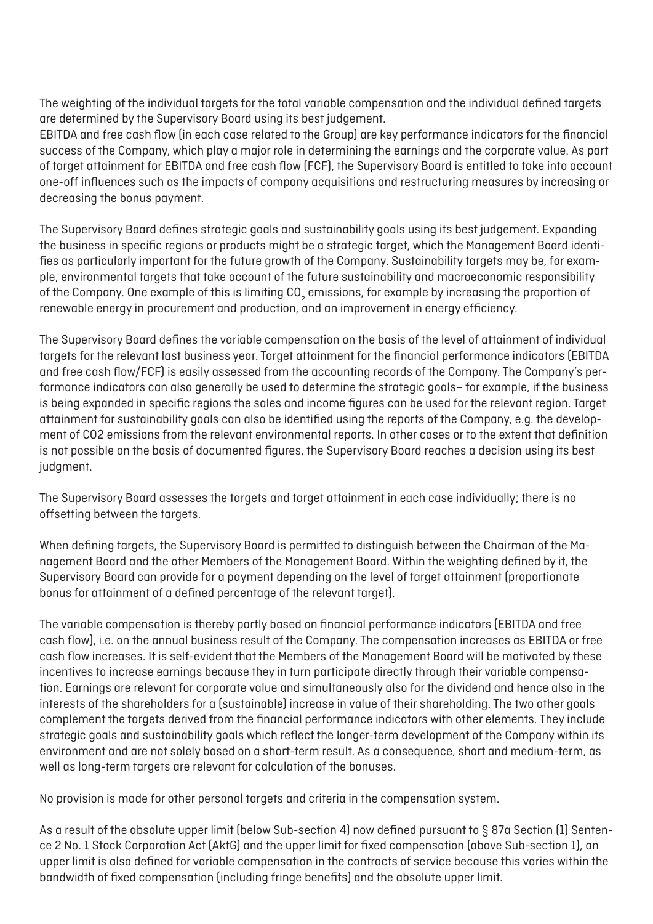The weighting of the individual targets for the total variable compensation and the individual defined targets are determined by the Supervisory Board using its best judgement.

EBITDA and free cash flow (in each case related to the Group) are key performance indicators for the financial success of the Company, which play a major role in determining the earnings and the corporate value. As part of target attainment for EBITDA and free cash flow (FCF), the Supervisory Board is entitled to take into account one-off influences such as the impacts of company acquisitions and restructuring measures by increasing or decreasing the bonus payment.

The Supervisory Board defines strategic goals and sustainability goals using its best judgement. Expanding the business in specific regions or products might be a strategic target, which the Management Board identifies as particularly important for the future growth of the Company. Sustainability targets may be, for example, environmental targets that take account of the future sustainability and macroeconomic responsibility of the Company. One example of this is limiting CO $_{\rm z}$  emissions, for example by increasing the proportion of renewable energy in procurement and production, and an improvement in energy efficiency.

The Supervisory Board defines the variable compensation on the basis of the level of attainment of individual targets for the relevant last business year. Target attainment for the financial performance indicators (EBITDA and free cash flow/FCF) is easily assessed from the accounting records of the Company. The Company's performance indicators can also generally be used to determine the strategic goals– for example, if the business is being expanded in specific regions the sales and income figures can be used for the relevant region. Target attainment for sustainability goals can also be identified using the reports of the Company, e.g. the development of CO2 emissions from the relevant environmental reports. In other cases or to the extent that definition is not possible on the basis of documented figures, the Supervisory Board reaches a decision using its best judgment.

The Supervisory Board assesses the targets and target attainment in each case individually; there is no offsetting between the targets.

When defining targets, the Supervisory Board is permitted to distinguish between the Chairman of the Management Board and the other Members of the Management Board. Within the weighting defined by it, the Supervisory Board can provide for a payment depending on the level of target attainment (proportionate bonus for attainment of a defined percentage of the relevant target).

The variable compensation is thereby partly based on financial performance indicators (EBITDA and free cash flow), i.e. on the annual business result of the Company. The compensation increases as EBITDA or free cash flow increases. It is self-evident that the Members of the Management Board will be motivated by these incentives to increase earnings because they in turn participate directly through their variable compensation. Earnings are relevant for corporate value and simultaneously also for the dividend and hence also in the interests of the shareholders for a (sustainable) increase in value of their shareholding. The two other goals complement the targets derived from the financial performance indicators with other elements. They include strategic goals and sustainability goals which reflect the longer-term development of the Company within its environment and are not solely based on a short-term result. As a consequence, short and medium-term, as well as long-term targets are relevant for calculation of the bonuses.

No provision is made for other personal targets and criteria in the compensation system.

As a result of the absolute upper limit (below Sub-section 4) now defined pursuant to § 87a Section (1) Sentence 2 No. 1 Stock Corporation Act (AktG) and the upper limit for fixed compensation (above Sub-section 1), an upper limit is also defined for variable compensation in the contracts of service because this varies within the bandwidth of fixed compensation (including fringe benefits) and the absolute upper limit.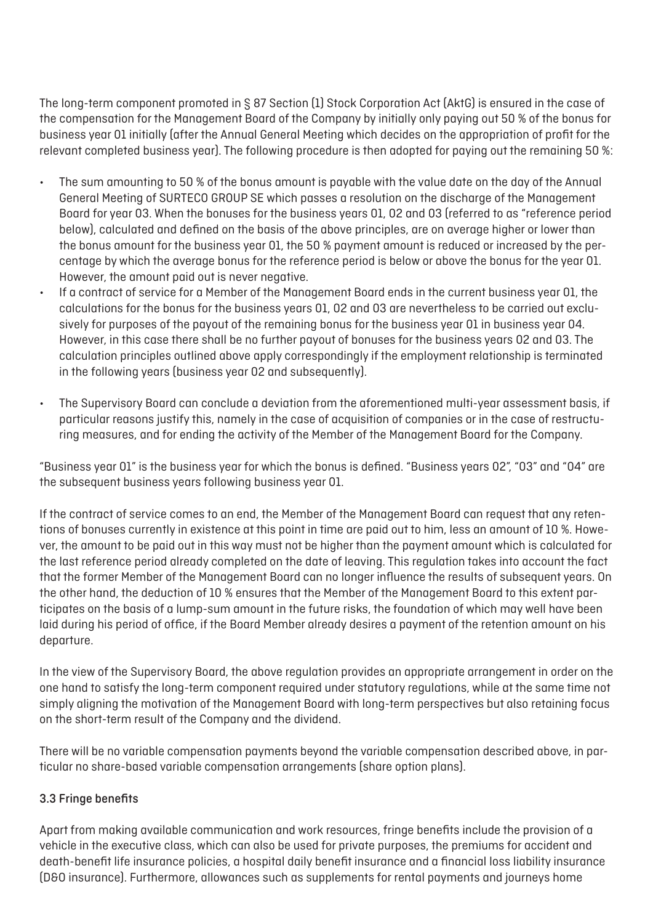The long-term component promoted in § 87 Section (1) Stock Corporation Act (AktG) is ensured in the case of the compensation for the Management Board of the Company by initially only paying out 50 % of the bonus for business year 01 initially (after the Annual General Meeting which decides on the appropriation of profit for the relevant completed business year). The following procedure is then adopted for paying out the remaining 50 %:

- The sum amounting to 50 % of the bonus amount is payable with the value date on the day of the Annual General Meeting of SURTECO GROUP SE which passes a resolution on the discharge of the Management Board for year 03. When the bonuses for the business years 01, 02 and 03 (referred to as "reference period below), calculated and defined on the basis of the above principles, are on average higher or lower than the bonus amount for the business year 01, the 50 % payment amount is reduced or increased by the percentage by which the average bonus for the reference period is below or above the bonus for the year 01. However, the amount paid out is never negative.
- If a contract of service for a Member of the Management Board ends in the current business year 01, the calculations for the bonus for the business years 01, 02 and 03 are nevertheless to be carried out exclusively for purposes of the payout of the remaining bonus for the business year 01 in business year 04. However, in this case there shall be no further payout of bonuses for the business years 02 and 03. The calculation principles outlined above apply correspondingly if the employment relationship is terminated in the following years (business year 02 and subsequently).
- The Supervisory Board can conclude a deviation from the aforementioned multi-year assessment basis, if particular reasons justify this, namely in the case of acquisition of companies or in the case of restructuring measures, and for ending the activity of the Member of the Management Board for the Company.

"Business year 01" is the business year for which the bonus is defined. "Business years 02", "03" and "04" are the subsequent business years following business year 01.

If the contract of service comes to an end, the Member of the Management Board can request that any retentions of bonuses currently in existence at this point in time are paid out to him, less an amount of 10 %. However, the amount to be paid out in this way must not be higher than the payment amount which is calculated for the last reference period already completed on the date of leaving. This regulation takes into account the fact that the former Member of the Management Board can no longer influence the results of subsequent years. On the other hand, the deduction of 10 % ensures that the Member of the Management Board to this extent participates on the basis of a lump-sum amount in the future risks, the foundation of which may well have been laid during his period of office, if the Board Member already desires a payment of the retention amount on his departure.

In the view of the Supervisory Board, the above regulation provides an appropriate arrangement in order on the one hand to satisfy the long-term component required under statutory regulations, while at the same time not simply aligning the motivation of the Management Board with long-term perspectives but also retaining focus on the short-term result of the Company and the dividend.

There will be no variable compensation payments beyond the variable compensation described above, in particular no share-based variable compensation arrangements (share option plans).

### 3.3 Fringe benefits

Apart from making available communication and work resources, fringe benefits include the provision of a vehicle in the executive class, which can also be used for private purposes, the premiums for accident and death-benefit life insurance policies, a hospital daily benefit insurance and a financial loss liability insurance (D&O insurance). Furthermore, allowances such as supplements for rental payments and journeys home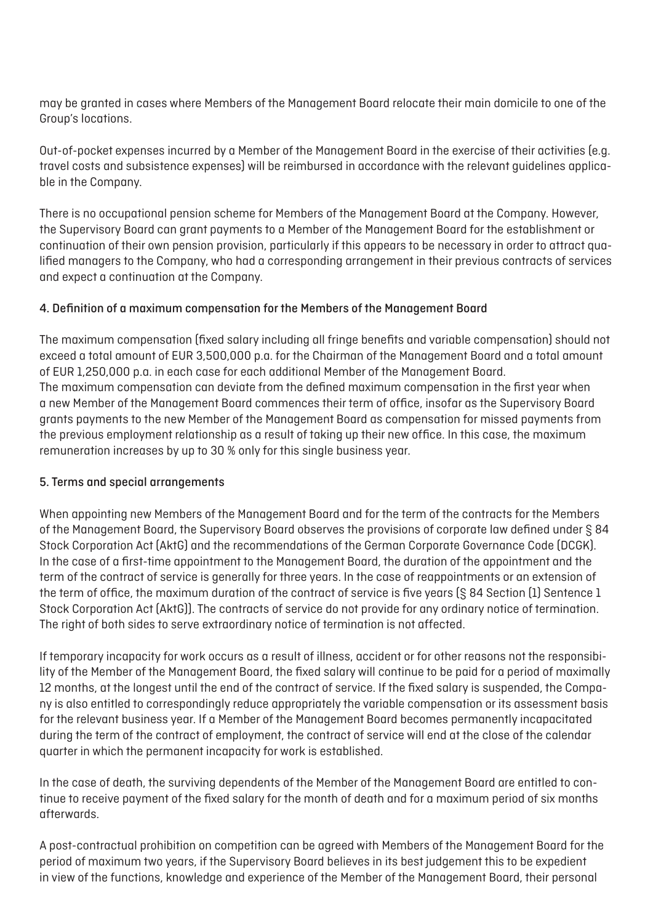may be granted in cases where Members of the Management Board relocate their main domicile to one of the Group's locations.

Out-of-pocket expenses incurred by a Member of the Management Board in the exercise of their activities (e.g. travel costs and subsistence expenses) will be reimbursed in accordance with the relevant guidelines applicable in the Company.

There is no occupational pension scheme for Members of the Management Board at the Company. However, the Supervisory Board can grant payments to a Member of the Management Board for the establishment or continuation of their own pension provision, particularly if this appears to be necessary in order to attract qualified managers to the Company, who had a corresponding arrangement in their previous contracts of services and expect a continuation at the Company.

# 4. Definition of a maximum compensation for the Members of the Management Board

The maximum compensation (fixed salary including all fringe benefits and variable compensation) should not exceed a total amount of EUR 3,500,000 p.a. for the Chairman of the Management Board and a total amount of EUR 1,250,000 p.a. in each case for each additional Member of the Management Board. The maximum compensation can deviate from the defined maximum compensation in the first year when a new Member of the Management Board commences their term of office, insofar as the Supervisory Board grants payments to the new Member of the Management Board as compensation for missed payments from the previous employment relationship as a result of taking up their new office. In this case, the maximum remuneration increases by up to 30 % only for this single business year.

### 5. Terms and special arrangements

When appointing new Members of the Management Board and for the term of the contracts for the Members of the Management Board, the Supervisory Board observes the provisions of corporate law defined under § 84 Stock Corporation Act (AktG) and the recommendations of the German Corporate Governance Code (DCGK). In the case of a first-time appointment to the Management Board, the duration of the appointment and the term of the contract of service is generally for three years. In the case of reappointments or an extension of the term of office, the maximum duration of the contract of service is five years (§ 84 Section (1) Sentence 1 Stock Corporation Act (AktG)). The contracts of service do not provide for any ordinary notice of termination. The right of both sides to serve extraordinary notice of termination is not affected.

If temporary incapacity for work occurs as a result of illness, accident or for other reasons not the responsibility of the Member of the Management Board, the fixed salary will continue to be paid for a period of maximally 12 months, at the longest until the end of the contract of service. If the fixed salary is suspended, the Company is also entitled to correspondingly reduce appropriately the variable compensation or its assessment basis for the relevant business year. If a Member of the Management Board becomes permanently incapacitated during the term of the contract of employment, the contract of service will end at the close of the calendar quarter in which the permanent incapacity for work is established.

In the case of death, the surviving dependents of the Member of the Management Board are entitled to continue to receive payment of the fixed salary for the month of death and for a maximum period of six months afterwards.

A post-contractual prohibition on competition can be agreed with Members of the Management Board for the period of maximum two years, if the Supervisory Board believes in its best judgement this to be expedient in view of the functions, knowledge and experience of the Member of the Management Board, their personal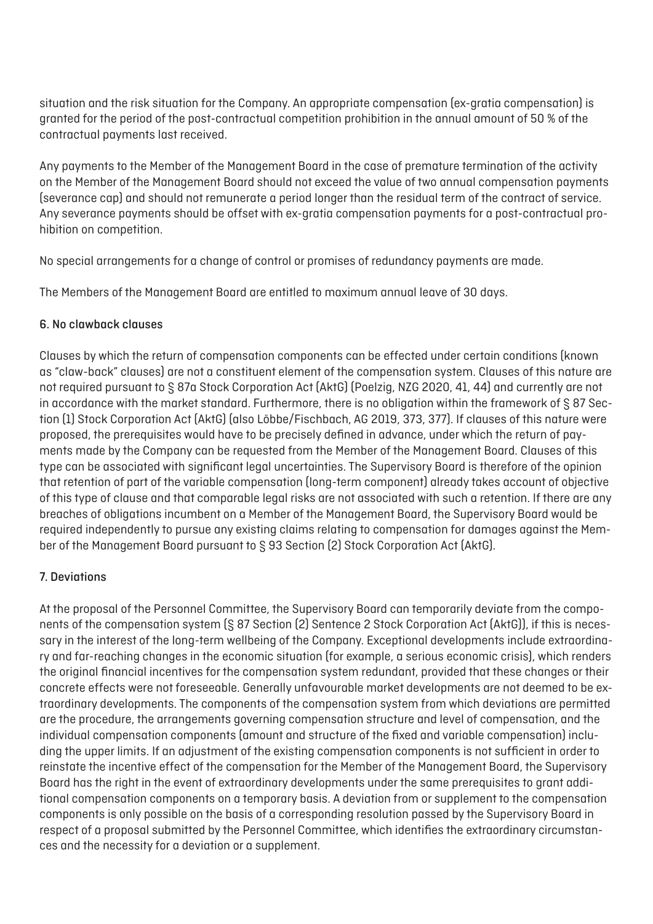situation and the risk situation for the Company. An appropriate compensation (ex-gratia compensation) is granted for the period of the post-contractual competition prohibition in the annual amount of 50 % of the contractual payments last received.

Any payments to the Member of the Management Board in the case of premature termination of the activity on the Member of the Management Board should not exceed the value of two annual compensation payments (severance cap) and should not remunerate a period longer than the residual term of the contract of service. Any severance payments should be offset with ex-gratia compensation payments for a post-contractual prohibition on competition.

No special arrangements for a change of control or promises of redundancy payments are made.

The Members of the Management Board are entitled to maximum annual leave of 30 days.

### 6. No clawback clauses

Clauses by which the return of compensation components can be effected under certain conditions (known as "claw-back" clauses) are not a constituent element of the compensation system. Clauses of this nature are not required pursuant to § 87a Stock Corporation Act (AktG) (Poelzig, NZG 2020, 41, 44) and currently are not in accordance with the market standard. Furthermore, there is no obligation within the framework of  $\leq 87$  Section (1) Stock Corporation Act (AktG) (also Löbbe/Fischbach, AG 2019, 373, 377). If clauses of this nature were proposed, the prerequisites would have to be precisely defined in advance, under which the return of payments made by the Company can be requested from the Member of the Management Board. Clauses of this type can be associated with significant legal uncertainties. The Supervisory Board is therefore of the opinion that retention of part of the variable compensation (long-term component) already takes account of objective of this type of clause and that comparable legal risks are not associated with such a retention. If there are any breaches of obligations incumbent on a Member of the Management Board, the Supervisory Board would be required independently to pursue any existing claims relating to compensation for damages against the Member of the Management Board pursuant to § 93 Section (2) Stock Corporation Act (AktG).

# 7. Deviations

At the proposal of the Personnel Committee, the Supervisory Board can temporarily deviate from the components of the compensation system (§ 87 Section (2) Sentence 2 Stock Corporation Act (AktG)), if this is necessary in the interest of the long-term wellbeing of the Company. Exceptional developments include extraordinary and far-reaching changes in the economic situation (for example, a serious economic crisis), which renders the original financial incentives for the compensation system redundant, provided that these changes or their concrete effects were not foreseeable. Generally unfavourable market developments are not deemed to be extraordinary developments. The components of the compensation system from which deviations are permitted are the procedure, the arrangements governing compensation structure and level of compensation, and the individual compensation components (amount and structure of the fixed and variable compensation) including the upper limits. If an adjustment of the existing compensation components is not sufficient in order to reinstate the incentive effect of the compensation for the Member of the Management Board, the Supervisory Board has the right in the event of extraordinary developments under the same prerequisites to grant additional compensation components on a temporary basis. A deviation from or supplement to the compensation components is only possible on the basis of a corresponding resolution passed by the Supervisory Board in respect of a proposal submitted by the Personnel Committee, which identifies the extraordinary circumstances and the necessity for a deviation or a supplement.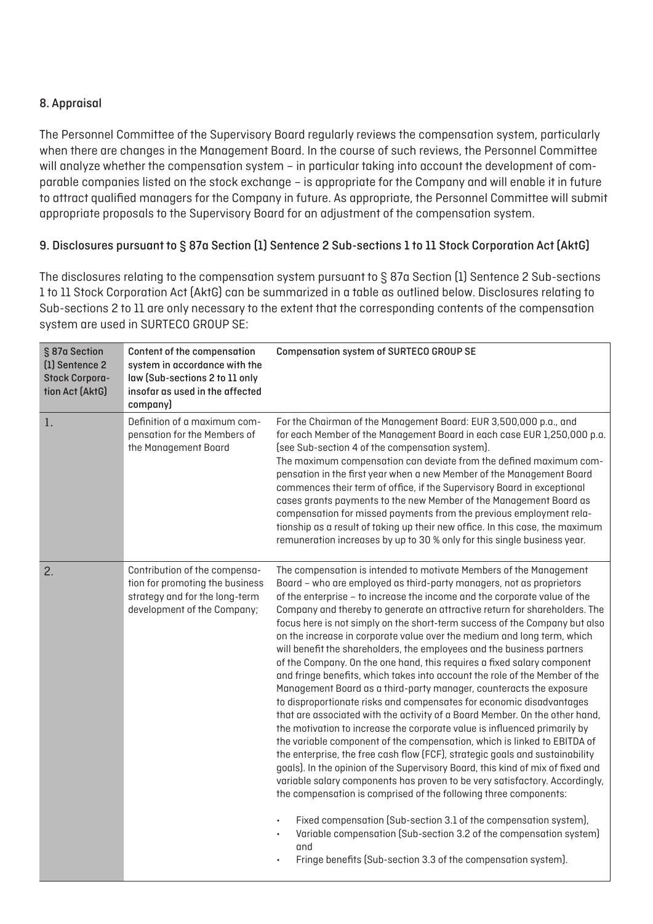### 8. Appraisal

The Personnel Committee of the Supervisory Board regularly reviews the compensation system, particularly when there are changes in the Management Board. In the course of such reviews, the Personnel Committee will analyze whether the compensation system – in particular taking into account the development of comparable companies listed on the stock exchange – is appropriate for the Company and will enable it in future to attract qualified managers for the Company in future. As appropriate, the Personnel Committee will submit appropriate proposals to the Supervisory Board for an adjustment of the compensation system.

### 9. Disclosures pursuant to § 87a Section (1) Sentence 2 Sub-sections 1 to 11 Stock Corporation Act (AktG)

The disclosures relating to the compensation system pursuant to § 87a Section (1) Sentence 2 Sub-sections 1 to 11 Stock Corporation Act (AktG) can be summarized in a table as outlined below. Disclosures relating to Sub-sections 2 to 11 are only necessary to the extent that the corresponding contents of the compensation system are used in SURTECO GROUP SE:

| § 87a Section<br>[1] Sentence 2<br><b>Stock Corpora-</b><br>tion Act (AktG) | Content of the compensation<br>system in accordance with the<br>law (Sub-sections 2 to 11 only<br>insofar as used in the affected<br>company) | <b>Compensation system of SURTECO GROUP SE</b>                                                                                                                                                                                                                                                                                                                                                                                                                                                                                                                                                                                                                                                                                                                                                                                                                                                                                                                                                                                                                                                                                                                                                                                                                                                                                                                                                                                                                                                                                                                                                                                                |
|-----------------------------------------------------------------------------|-----------------------------------------------------------------------------------------------------------------------------------------------|-----------------------------------------------------------------------------------------------------------------------------------------------------------------------------------------------------------------------------------------------------------------------------------------------------------------------------------------------------------------------------------------------------------------------------------------------------------------------------------------------------------------------------------------------------------------------------------------------------------------------------------------------------------------------------------------------------------------------------------------------------------------------------------------------------------------------------------------------------------------------------------------------------------------------------------------------------------------------------------------------------------------------------------------------------------------------------------------------------------------------------------------------------------------------------------------------------------------------------------------------------------------------------------------------------------------------------------------------------------------------------------------------------------------------------------------------------------------------------------------------------------------------------------------------------------------------------------------------------------------------------------------------|
| 1.                                                                          | Definition of a maximum com-<br>pensation for the Members of<br>the Management Board                                                          | For the Chairman of the Management Board: EUR 3,500,000 p.a., and<br>for each Member of the Management Board in each case EUR 1,250,000 p.a.<br>(see Sub-section 4 of the compensation system).<br>The maximum compensation can deviate from the defined maximum com-<br>pensation in the first year when a new Member of the Management Board<br>commences their term of office, if the Supervisory Board in exceptional<br>cases grants payments to the new Member of the Management Board as<br>compensation for missed payments from the previous employment rela-<br>tionship as a result of taking up their new office. In this case, the maximum<br>remuneration increases by up to 30 % only for this single business year.                                                                                                                                                                                                                                                                                                                                                                                                                                                                                                                                                                                                                                                                                                                                                                                                                                                                                                           |
| 2.                                                                          | Contribution of the compensa-<br>tion for promoting the business<br>strategy and for the long-term<br>development of the Company;             | The compensation is intended to motivate Members of the Management<br>Board - who are employed as third-party managers, not as proprietors<br>of the enterprise - to increase the income and the corporate value of the<br>Company and thereby to generate an attractive return for shareholders. The<br>focus here is not simply on the short-term success of the Company but also<br>on the increase in corporate value over the medium and long term, which<br>will benefit the shareholders, the employees and the business partners<br>of the Company. On the one hand, this requires a fixed salary component<br>and fringe benefits, which takes into account the role of the Member of the<br>Management Board as a third-party manager, counteracts the exposure<br>to disproportionate risks and compensates for economic disadvantages<br>that are associated with the activity of a Board Member. On the other hand,<br>the motivation to increase the corporate value is influenced primarily by<br>the variable component of the compensation, which is linked to EBITDA of<br>the enterprise, the free cash flow (FCF), strategic goals and sustainability<br>goals). In the opinion of the Supervisory Board, this kind of mix of fixed and<br>variable salary components has proven to be very satisfactory. Accordingly,<br>the compensation is comprised of the following three components:<br>Fixed compensation (Sub-section 3.1 of the compensation system),<br>$\bullet$<br>Variable compensation (Sub-section 3.2 of the compensation system)<br>and<br>Fringe benefits (Sub-section 3.3 of the compensation system). |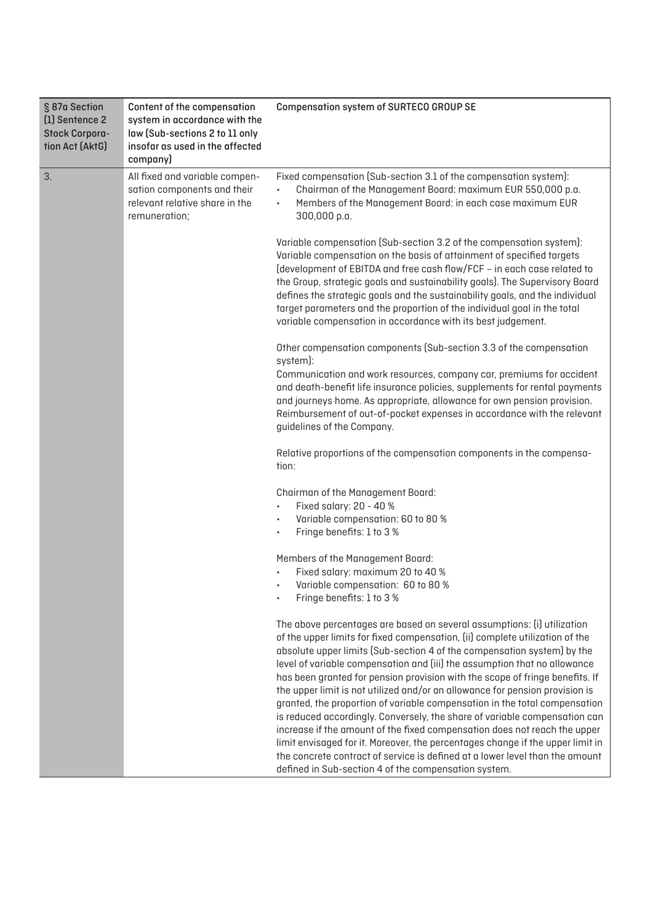| § 87a Section<br>(1) Sentence 2<br><b>Stock Corpora-</b><br>tion Act (AktG) | Content of the compensation<br>system in accordance with the<br>law (Sub-sections 2 to 11 only<br>insofar as used in the affected<br>company) | <b>Compensation system of SURTECO GROUP SE</b>                                                                                                                                                                                                                                                                                                                                                                                                                                                                                                                                                                                              |
|-----------------------------------------------------------------------------|-----------------------------------------------------------------------------------------------------------------------------------------------|---------------------------------------------------------------------------------------------------------------------------------------------------------------------------------------------------------------------------------------------------------------------------------------------------------------------------------------------------------------------------------------------------------------------------------------------------------------------------------------------------------------------------------------------------------------------------------------------------------------------------------------------|
| 3.<br>remuneration;                                                         | All fixed and variable compen-<br>sation components and their<br>relevant relative share in the                                               | Fixed compensation (Sub-section 3.1 of the compensation system):<br>Chairman of the Management Board: maximum EUR 550,000 p.a.<br>Members of the Management Board: in each case maximum EUR<br>300,000 p.a.                                                                                                                                                                                                                                                                                                                                                                                                                                 |
|                                                                             |                                                                                                                                               | Variable compensation (Sub-section 3.2 of the compensation system):<br>Variable compensation on the basis of attainment of specified targets<br>(development of EBITDA and free cash flow/FCF - in each case related to<br>the Group, strategic goals and sustainability goals). The Supervisory Board<br>defines the strategic goals and the sustainability goals, and the individual<br>target parameters and the proportion of the individual goal in the total<br>variable compensation in accordance with its best judgement.                                                                                                          |
|                                                                             |                                                                                                                                               | Other compensation components (Sub-section 3.3 of the compensation<br>system):<br>Communication and work resources, company car, premiums for accident                                                                                                                                                                                                                                                                                                                                                                                                                                                                                      |
|                                                                             |                                                                                                                                               | and death-benefit life insurance policies, supplements for rental payments<br>and journeys home. As appropriate, allowance for own pension provision.<br>Reimbursement of out-of-pocket expenses in accordance with the relevant<br>guidelines of the Company.                                                                                                                                                                                                                                                                                                                                                                              |
|                                                                             |                                                                                                                                               | Relative proportions of the compensation components in the compensa-<br>tion:                                                                                                                                                                                                                                                                                                                                                                                                                                                                                                                                                               |
|                                                                             |                                                                                                                                               | Chairman of the Management Board:<br>Fixed salary: 20 - 40 %<br>Variable compensation: 60 to 80 %                                                                                                                                                                                                                                                                                                                                                                                                                                                                                                                                           |
|                                                                             |                                                                                                                                               | Fringe benefits: 1 to 3 %                                                                                                                                                                                                                                                                                                                                                                                                                                                                                                                                                                                                                   |
|                                                                             |                                                                                                                                               | Members of the Management Board:                                                                                                                                                                                                                                                                                                                                                                                                                                                                                                                                                                                                            |
|                                                                             |                                                                                                                                               | Fixed salary: maximum 20 to 40 %<br>Variable compensation: 60 to 80 %                                                                                                                                                                                                                                                                                                                                                                                                                                                                                                                                                                       |
|                                                                             |                                                                                                                                               | Fringe benefits: 1 to 3 %                                                                                                                                                                                                                                                                                                                                                                                                                                                                                                                                                                                                                   |
|                                                                             |                                                                                                                                               | The above percentages are based on several assumptions: (i) utilization<br>of the upper limits for fixed compensation, (ii) complete utilization of the<br>absolute upper limits (Sub-section 4 of the compensation system) by the<br>level of variable compensation and (iii) the assumption that no allowance<br>has been granted for pension provision with the scope of fringe benefits. If<br>the upper limit is not utilized and/or an allowance for pension provision is<br>granted, the proportion of variable compensation in the total compensation<br>is reduced accordingly. Conversely, the share of variable compensation can |
|                                                                             |                                                                                                                                               | increase if the amount of the fixed compensation does not reach the upper<br>limit envisaged for it. Moreover, the percentages change if the upper limit in<br>the concrete contract of service is defined at a lower level than the amount<br>defined in Sub-section 4 of the compensation system.                                                                                                                                                                                                                                                                                                                                         |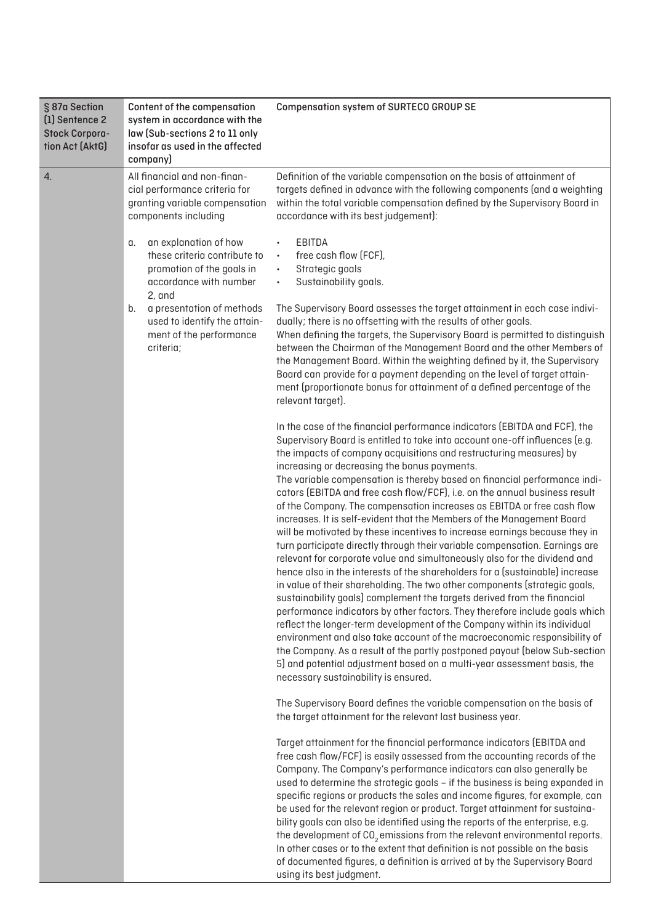| § 87a Section<br>(1) Sentence 2<br><b>Stock Corpora-</b><br>tion Act (AktG) | Content of the compensation<br>system in accordance with the<br>law (Sub-sections 2 to 11 only<br>insofar as used in the affected<br>company) | <b>Compensation system of SURTECO GROUP SE</b>                                                                                                                                                                                                                                                                                                                                                                                                                                                                                                                                                                                                                                                                                                                                                                                                                                                                                                                                                                                                                                                                                                                                                                                                                                                                                                                                                                                                                                                                           |
|-----------------------------------------------------------------------------|-----------------------------------------------------------------------------------------------------------------------------------------------|--------------------------------------------------------------------------------------------------------------------------------------------------------------------------------------------------------------------------------------------------------------------------------------------------------------------------------------------------------------------------------------------------------------------------------------------------------------------------------------------------------------------------------------------------------------------------------------------------------------------------------------------------------------------------------------------------------------------------------------------------------------------------------------------------------------------------------------------------------------------------------------------------------------------------------------------------------------------------------------------------------------------------------------------------------------------------------------------------------------------------------------------------------------------------------------------------------------------------------------------------------------------------------------------------------------------------------------------------------------------------------------------------------------------------------------------------------------------------------------------------------------------------|
| 4.                                                                          | All financial and non-finan-<br>cial performance criteria for<br>granting variable compensation<br>components including                       | Definition of the variable compensation on the basis of attainment of<br>targets defined in advance with the following components (and a weighting<br>within the total variable compensation defined by the Supervisory Board in<br>accordance with its best judgement):                                                                                                                                                                                                                                                                                                                                                                                                                                                                                                                                                                                                                                                                                                                                                                                                                                                                                                                                                                                                                                                                                                                                                                                                                                                 |
|                                                                             | an explanation of how<br>α.<br>these criteria contribute to<br>promotion of the goals in<br>accordance with number<br>2, and                  | EBITDA<br>free cash flow (FCF),<br>$\bullet$<br>Strategic goals<br>$\bullet$<br>Sustainability goals.                                                                                                                                                                                                                                                                                                                                                                                                                                                                                                                                                                                                                                                                                                                                                                                                                                                                                                                                                                                                                                                                                                                                                                                                                                                                                                                                                                                                                    |
| b.<br>criteria;                                                             | a presentation of methods<br>used to identify the attain-<br>ment of the performance                                                          | The Supervisory Board assesses the target attainment in each case indivi-<br>dually; there is no offsetting with the results of other goals.<br>When defining the targets, the Supervisory Board is permitted to distinguish<br>between the Chairman of the Management Board and the other Members of<br>the Management Board. Within the weighting defined by it, the Supervisory<br>Board can provide for a payment depending on the level of target attain-<br>ment (proportionate bonus for attainment of a defined percentage of the<br>relevant target).                                                                                                                                                                                                                                                                                                                                                                                                                                                                                                                                                                                                                                                                                                                                                                                                                                                                                                                                                           |
|                                                                             |                                                                                                                                               | In the case of the financial performance indicators (EBITDA and FCF), the<br>Supervisory Board is entitled to take into account one-off influences (e.g.<br>the impacts of company acquisitions and restructuring measures) by<br>increasing or decreasing the bonus payments.<br>The variable compensation is thereby based on financial performance indi-<br>cators (EBITDA and free cash flow/FCF), i.e. on the annual business result<br>of the Company. The compensation increases as EBITDA or free cash flow<br>increases. It is self-evident that the Members of the Management Board<br>will be motivated by these incentives to increase earnings because they in<br>turn participate directly through their variable compensation. Earnings are<br>relevant for corporate value and simultaneously also for the dividend and<br>hence also in the interests of the shareholders for a (sustainable) increase<br>in value of their shareholding. The two other components (strategic goals,<br>sustainability goals) complement the targets derived from the financial<br>performance indicators by other factors. They therefore include goals which<br>reflect the longer-term development of the Company within its individual<br>environment and also take account of the macroeconomic responsibility of<br>the Company. As a result of the partly postponed payout (below Sub-section<br>5) and potential adjustment based on a multi-year assessment basis, the<br>necessary sustainability is ensured. |
|                                                                             |                                                                                                                                               | The Supervisory Board defines the variable compensation on the basis of<br>the target attainment for the relevant last business year.                                                                                                                                                                                                                                                                                                                                                                                                                                                                                                                                                                                                                                                                                                                                                                                                                                                                                                                                                                                                                                                                                                                                                                                                                                                                                                                                                                                    |
|                                                                             |                                                                                                                                               | Target attainment for the financial performance indicators (EBITDA and<br>free cash flow/FCF) is easily assessed from the accounting records of the<br>Company. The Company's performance indicators can also generally be<br>used to determine the strategic goals - if the business is being expanded in<br>specific regions or products the sales and income figures, for example, can<br>be used for the relevant region or product. Target attainment for sustaina-<br>bility goals can also be identified using the reports of the enterprise, e.g.<br>the development of CO <sub>2</sub> emissions from the relevant environmental reports.<br>In other cases or to the extent that definition is not possible on the basis<br>of documented figures, a definition is arrived at by the Supervisory Board<br>using its best judgment.                                                                                                                                                                                                                                                                                                                                                                                                                                                                                                                                                                                                                                                                             |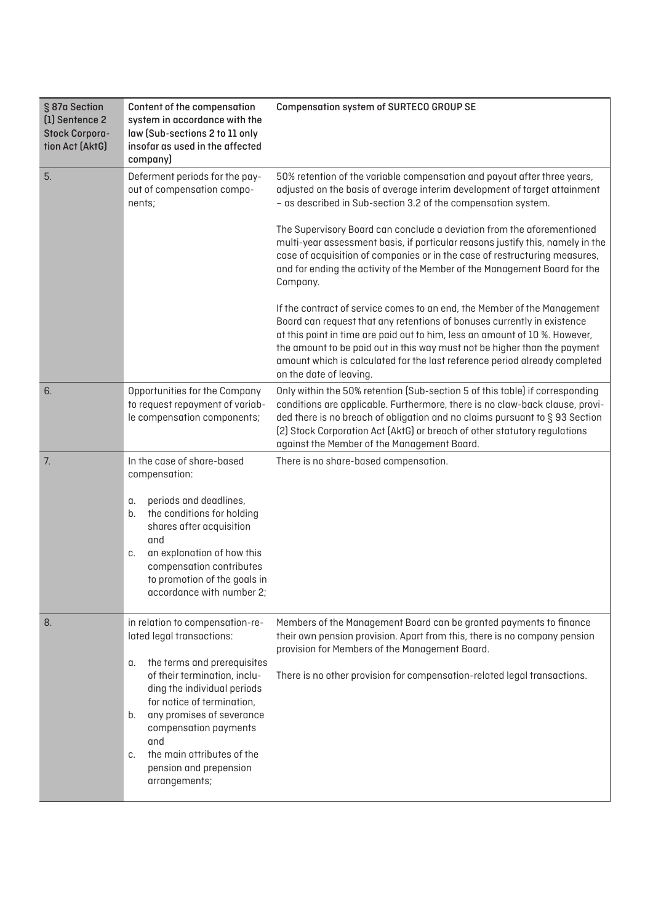| § 87a Section<br>[1] Sentence 2<br><b>Stock Corpora-</b><br>tion Act (AktG) | Content of the compensation<br>system in accordance with the<br>law (Sub-sections 2 to 11 only<br>insofar as used in the affected<br>company)                                                                                                                                    | <b>Compensation system of SURTECO GROUP SE</b>                                                                                                                                                                                                                                                                                                                                                                           |
|-----------------------------------------------------------------------------|----------------------------------------------------------------------------------------------------------------------------------------------------------------------------------------------------------------------------------------------------------------------------------|--------------------------------------------------------------------------------------------------------------------------------------------------------------------------------------------------------------------------------------------------------------------------------------------------------------------------------------------------------------------------------------------------------------------------|
| 5.                                                                          | Deferment periods for the pay-<br>out of compensation compo-<br>nents;                                                                                                                                                                                                           | 50% retention of the variable compensation and payout after three years,<br>adjusted on the basis of average interim development of target attainment<br>- as described in Sub-section 3.2 of the compensation system.                                                                                                                                                                                                   |
|                                                                             |                                                                                                                                                                                                                                                                                  | The Supervisory Board can conclude a deviation from the aforementioned<br>multi-year assessment basis, if particular reasons justify this, namely in the<br>case of acquisition of companies or in the case of restructuring measures,<br>and for ending the activity of the Member of the Management Board for the<br>Company.                                                                                          |
|                                                                             |                                                                                                                                                                                                                                                                                  | If the contract of service comes to an end, the Member of the Management<br>Board can request that any retentions of bonuses currently in existence<br>at this point in time are paid out to him, less an amount of 10 %. However,<br>the amount to be paid out in this way must not be higher than the payment<br>amount which is calculated for the last reference period already completed<br>on the date of leaving. |
| 6.                                                                          | Opportunities for the Company<br>to request repayment of variab-<br>le compensation components;                                                                                                                                                                                  | Only within the 50% retention (Sub-section 5 of this table) if corresponding<br>conditions are applicable. Furthermore, there is no claw-back clause, provi-<br>ded there is no breach of obligation and no claims pursuant to §93 Section<br>[2] Stock Corporation Act (AktG) or breach of other statutory regulations<br>against the Member of the Management Board.                                                   |
| 7.                                                                          | In the case of share-based<br>compensation:<br>periods and deadlines,<br>α.<br>the conditions for holding<br>b.<br>shares after acquisition<br>and<br>an explanation of how this<br>C.<br>compensation contributes                                                               | There is no share-based compensation.                                                                                                                                                                                                                                                                                                                                                                                    |
|                                                                             | to promotion of the goals in<br>accordance with number 2;                                                                                                                                                                                                                        |                                                                                                                                                                                                                                                                                                                                                                                                                          |
| 8.                                                                          | in relation to compensation-re-<br>lated legal transactions:                                                                                                                                                                                                                     | Members of the Management Board can be granted payments to finance<br>their own pension provision. Apart from this, there is no company pension<br>provision for Members of the Management Board.                                                                                                                                                                                                                        |
|                                                                             | the terms and prerequisites<br>α.<br>of their termination, inclu-<br>ding the individual periods<br>for notice of termination,<br>any promises of severance<br>b.<br>compensation payments<br>and<br>the main attributes of the<br>C.<br>pension and prepension<br>arrangements; | There is no other provision for compensation-related legal transactions.                                                                                                                                                                                                                                                                                                                                                 |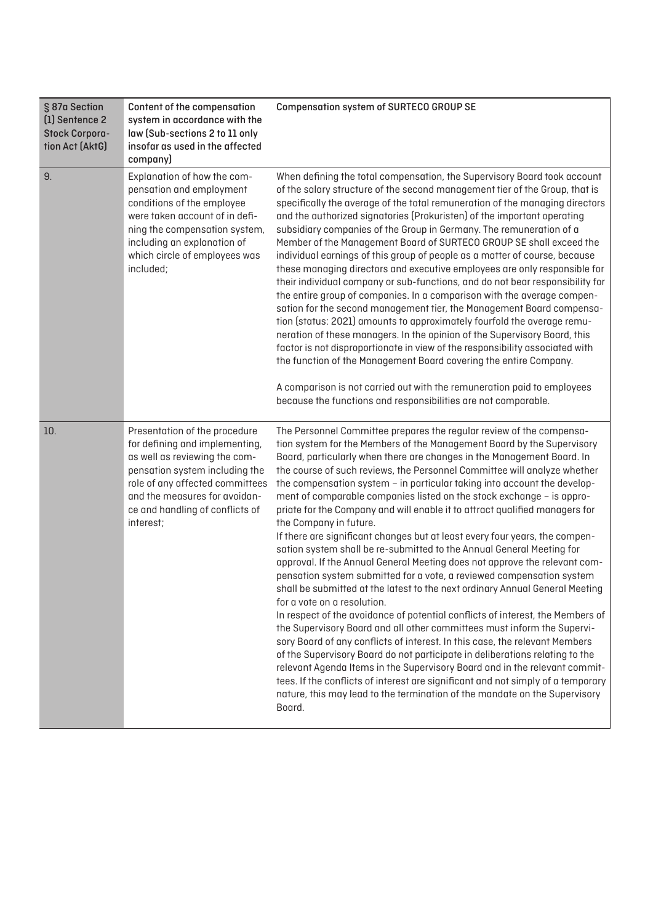| § 87a Section<br>(1) Sentence 2<br><b>Stock Corpora-</b><br>tion Act (AktG) | Content of the compensation<br>system in accordance with the<br>law (Sub-sections 2 to 11 only<br>insofar as used in the affected<br>company)                                                                                                          | <b>Compensation system of SURTECO GROUP SE</b>                                                                                                                                                                                                                                                                                                                                                                                                                                                                                                                                                                                                                                                                                                                                                                                                                                                                                                                                                                                                                                                                                                                                                                                                                                                                                                                                                                                                                                                                                                                                         |
|-----------------------------------------------------------------------------|--------------------------------------------------------------------------------------------------------------------------------------------------------------------------------------------------------------------------------------------------------|----------------------------------------------------------------------------------------------------------------------------------------------------------------------------------------------------------------------------------------------------------------------------------------------------------------------------------------------------------------------------------------------------------------------------------------------------------------------------------------------------------------------------------------------------------------------------------------------------------------------------------------------------------------------------------------------------------------------------------------------------------------------------------------------------------------------------------------------------------------------------------------------------------------------------------------------------------------------------------------------------------------------------------------------------------------------------------------------------------------------------------------------------------------------------------------------------------------------------------------------------------------------------------------------------------------------------------------------------------------------------------------------------------------------------------------------------------------------------------------------------------------------------------------------------------------------------------------|
| 9.                                                                          | Explanation of how the com-<br>pensation and employment<br>conditions of the employee<br>were taken account of in defi-<br>ning the compensation system,<br>including an explanation of<br>which circle of employees was<br>included;                  | When defining the total compensation, the Supervisory Board took account<br>of the salary structure of the second management tier of the Group, that is<br>specifically the average of the total remuneration of the managing directors<br>and the authorized signatories (Prokuristen) of the important operating<br>subsidiary companies of the Group in Germany. The remuneration of a<br>Member of the Management Board of SURTECO GROUP SE shall exceed the<br>individual earnings of this group of people as a matter of course, because<br>these managing directors and executive employees are only responsible for<br>their individual company or sub-functions, and do not bear responsibility for<br>the entire group of companies. In a comparison with the average compen-<br>sation for the second management tier, the Management Board compensa-<br>tion (status: 2021) amounts to approximately fourfold the average remu-<br>neration of these managers. In the opinion of the Supervisory Board, this<br>factor is not disproportionate in view of the responsibility associated with<br>the function of the Management Board covering the entire Company.<br>A comparison is not carried out with the remuneration paid to employees<br>because the functions and responsibilities are not comparable.                                                                                                                                                                                                                                                             |
| 10.                                                                         | Presentation of the procedure<br>for defining and implementing,<br>as well as reviewing the com-<br>pensation system including the<br>role of any affected committees<br>and the measures for avoidan-<br>ce and handling of conflicts of<br>interest; | The Personnel Committee prepares the regular review of the compensa-<br>tion system for the Members of the Management Board by the Supervisory<br>Board, particularly when there are changes in the Management Board. In<br>the course of such reviews, the Personnel Committee will analyze whether<br>the compensation system - in particular taking into account the develop-<br>ment of comparable companies listed on the stock exchange - is appro-<br>priate for the Company and will enable it to attract qualified managers for<br>the Company in future.<br>If there are significant changes but at least every four years, the compen-<br>sation system shall be re-submitted to the Annual General Meeting for<br>approval. If the Annual General Meeting does not approve the relevant com-<br>pensation system submitted for a vote, a reviewed compensation system<br>shall be submitted at the latest to the next ordinary Annual General Meeting<br>for a vote on a resolution.<br>In respect of the avoidance of potential conflicts of interest, the Members of<br>the Supervisory Board and all other committees must inform the Supervi-<br>sory Board of any conflicts of interest. In this case, the relevant Members<br>of the Supervisory Board do not participate in deliberations relating to the<br>relevant Agenda Items in the Supervisory Board and in the relevant commit-<br>tees. If the conflicts of interest are significant and not simply of a temporary<br>nature, this may lead to the termination of the mandate on the Supervisory<br>Board. |